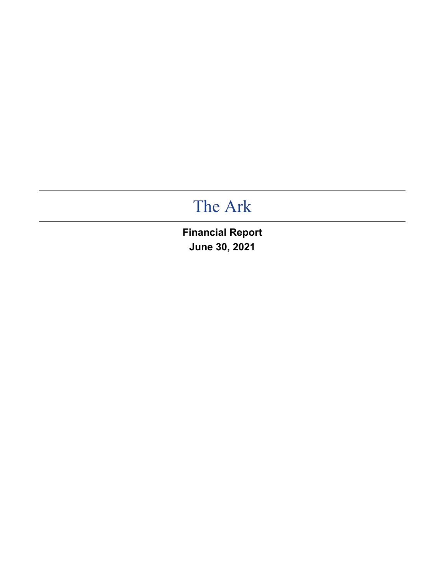# The Ark

**Financial Report June 30, 2021**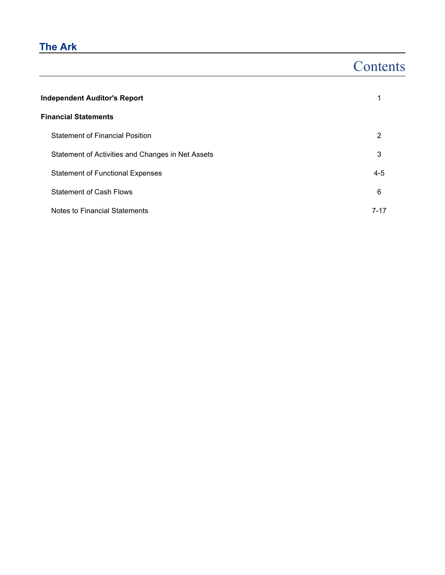## **The Ark**

## **Contents**

| <b>Independent Auditor's Report</b>               |          |  |  |  |  |  |  |  |
|---------------------------------------------------|----------|--|--|--|--|--|--|--|
| <b>Financial Statements</b>                       |          |  |  |  |  |  |  |  |
| <b>Statement of Financial Position</b>            | 2        |  |  |  |  |  |  |  |
| Statement of Activities and Changes in Net Assets | 3        |  |  |  |  |  |  |  |
| <b>Statement of Functional Expenses</b>           | $4 - 5$  |  |  |  |  |  |  |  |
| <b>Statement of Cash Flows</b>                    | 6        |  |  |  |  |  |  |  |
| Notes to Financial Statements                     | $7 - 17$ |  |  |  |  |  |  |  |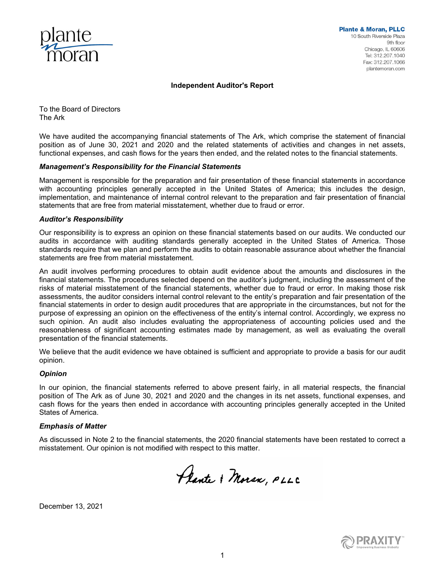

#### **Independent Auditor's Report**

To the Board of Directors The Ark

We have audited the accompanying financial statements of The Ark, which comprise the statement of financial position as of June 30, 2021 and 2020 and the related statements of activities and changes in net assets, functional expenses, and cash flows for the years then ended, and the related notes to the financial statements.

#### *Management's Responsibility for the Financial Statements*

Management is responsible for the preparation and fair presentation of these financial statements in accordance with accounting principles generally accepted in the United States of America; this includes the design, implementation, and maintenance of internal control relevant to the preparation and fair presentation of financial statements that are free from material misstatement, whether due to fraud or error.

#### *Auditor's Responsibility*

Our responsibility is to express an opinion on these financial statements based on our audits. We conducted our audits in accordance with auditing standards generally accepted in the United States of America. Those standards require that we plan and perform the audits to obtain reasonable assurance about whether the financial statements are free from material misstatement.

An audit involves performing procedures to obtain audit evidence about the amounts and disclosures in the financial statements. The procedures selected depend on the auditor's judgment, including the assessment of the risks of material misstatement of the financial statements, whether due to fraud or error. In making those risk assessments, the auditor considers internal control relevant to the entity's preparation and fair presentation of the financial statements in order to design audit procedures that are appropriate in the circumstances, but not for the purpose of expressing an opinion on the effectiveness of the entity's internal control. Accordingly, we express no such opinion. An audit also includes evaluating the appropriateness of accounting policies used and the reasonableness of significant accounting estimates made by management, as well as evaluating the overall presentation of the financial statements.

We believe that the audit evidence we have obtained is sufficient and appropriate to provide a basis for our audit opinion.

#### *Opinion*

In our opinion, the financial statements referred to above present fairly, in all material respects, the financial position of The Ark as of June 30, 2021 and 2020 and the changes in its net assets, functional expenses, and cash flows for the years then ended in accordance with accounting principles generally accepted in the United States of America.

#### *Emphasis of Matter*

As discussed in Note 2 to the financial statements, the 2020 financial statements have been restated to correct a misstatement. Our opinion is not modified with respect to this matter.

Plante & Moran, PLLC

December 13, 2021

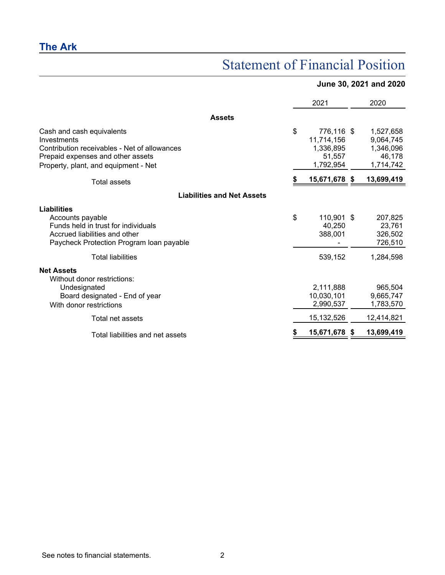## Statement of Financial Position

### **June 30, 2021 and 2020**

|                                                                                                                                                                       | 2021                                                               | 2020                                                       |
|-----------------------------------------------------------------------------------------------------------------------------------------------------------------------|--------------------------------------------------------------------|------------------------------------------------------------|
| <b>Assets</b>                                                                                                                                                         |                                                                    |                                                            |
| Cash and cash equivalents<br>Investments<br>Contribution receivables - Net of allowances<br>Prepaid expenses and other assets<br>Property, plant, and equipment - Net | \$<br>776,116 \$<br>11,714,156<br>1,336,895<br>51,557<br>1,792,954 | 1,527,658<br>9,064,745<br>1,346,096<br>46,178<br>1,714,742 |
| Total assets                                                                                                                                                          | 15,671,678 \$                                                      | 13,699,419                                                 |
| <b>Liabilities and Net Assets</b>                                                                                                                                     |                                                                    |                                                            |
| Liabilities<br>Accounts payable<br>Funds held in trust for individuals<br>Accrued liabilities and other<br>Paycheck Protection Program Ioan payable                   | \$<br>110,901 \$<br>40,250<br>388,001                              | 207,825<br>23,761<br>326,502<br>726,510                    |
| Total liabilities                                                                                                                                                     | 539,152                                                            | 1,284,598                                                  |
| <b>Net Assets</b><br>Without donor restrictions:<br>Undesignated<br>Board designated - End of year<br>With donor restrictions                                         | 2,111,888<br>10,030,101<br>2,990,537                               | 965,504<br>9,665,747<br>1,783,570                          |
| Total net assets                                                                                                                                                      | 15,132,526                                                         | 12,414,821                                                 |
| Total liabilities and net assets                                                                                                                                      | 15,671,678 \$                                                      | 13,699,419                                                 |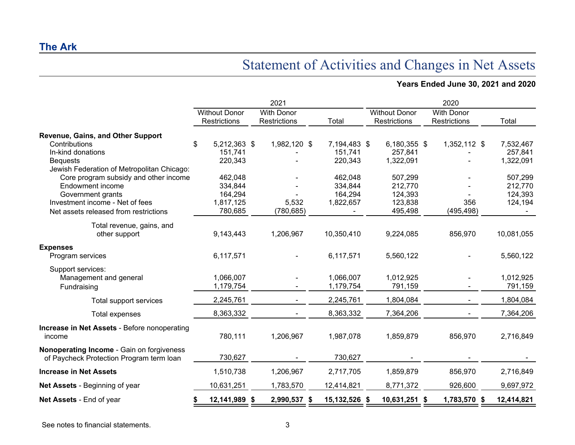## Statement of Activities and Changes in Net Assets

### **Years Ended June 30, 2021 and 2020**

|                                                                                       |                                      | 2021                                     |               |                                             | 2020                              |            |
|---------------------------------------------------------------------------------------|--------------------------------------|------------------------------------------|---------------|---------------------------------------------|-----------------------------------|------------|
|                                                                                       | <b>Without Donor</b><br>Restrictions | <b>With Donor</b><br><b>Restrictions</b> | Total         | <b>Without Donor</b><br><b>Restrictions</b> | <b>With Donor</b><br>Restrictions | Total      |
| Revenue, Gains, and Other Support                                                     |                                      |                                          |               |                                             |                                   |            |
| Contributions                                                                         | \$<br>5,212,363 \$                   | 1,982,120 \$                             | 7,194,483 \$  | 6,180,355 \$                                | 1,352,112 \$                      | 7,532,467  |
| In-kind donations                                                                     | 151,741                              |                                          | 151,741       | 257,841                                     |                                   | 257,841    |
| <b>Bequests</b>                                                                       | 220,343                              |                                          | 220,343       | 1,322,091                                   |                                   | 1,322,091  |
| Jewish Federation of Metropolitan Chicago:                                            |                                      |                                          |               |                                             |                                   |            |
| Core program subsidy and other income                                                 | 462,048                              |                                          | 462,048       | 507,299                                     |                                   | 507,299    |
| Endowment income                                                                      | 334,844                              |                                          | 334,844       | 212,770                                     |                                   | 212,770    |
| Government grants                                                                     | 164,294                              |                                          | 164,294       | 124,393                                     |                                   | 124,393    |
| Investment income - Net of fees                                                       | 1,817,125                            | 5,532                                    | 1,822,657     | 123,838                                     | 356                               | 124,194    |
| Net assets released from restrictions                                                 | 780,685                              | (780, 685)                               |               | 495,498                                     | (495, 498)                        |            |
| Total revenue, gains, and                                                             |                                      |                                          |               |                                             |                                   |            |
| other support                                                                         | 9,143,443                            | 1,206,967                                | 10,350,410    | 9,224,085                                   | 856,970                           | 10,081,055 |
| <b>Expenses</b>                                                                       |                                      |                                          |               |                                             |                                   |            |
| Program services                                                                      | 6,117,571                            |                                          | 6,117,571     | 5,560,122                                   |                                   | 5,560,122  |
| Support services:                                                                     |                                      |                                          |               |                                             |                                   |            |
| Management and general                                                                | 1,066,007                            |                                          | 1,066,007     | 1,012,925                                   |                                   | 1,012,925  |
| Fundraising                                                                           | 1,179,754                            |                                          | 1,179,754     | 791,159                                     |                                   | 791,159    |
| Total support services                                                                | 2,245,761                            |                                          | 2,245,761     | 1,804,084                                   |                                   | 1,804,084  |
| Total expenses                                                                        | 8,363,332                            |                                          | 8,363,332     | 7,364,206                                   |                                   | 7,364,206  |
| <b>Increase in Net Assets - Before nonoperating</b><br>income                         | 780,111                              | 1,206,967                                | 1,987,078     | 1,859,879                                   | 856,970                           | 2,716,849  |
| Nonoperating Income - Gain on forgiveness<br>of Paycheck Protection Program term loan | 730,627                              |                                          | 730,627       |                                             |                                   |            |
| <b>Increase in Net Assets</b>                                                         | 1,510,738                            | 1,206,967                                | 2,717,705     | 1,859,879                                   | 856,970                           | 2,716,849  |
| Net Assets - Beginning of year                                                        | 10,631,251                           | 1,783,570                                | 12,414,821    | 8,771,372                                   | 926,600                           | 9,697,972  |
| Net Assets - End of year                                                              | 12,141,989                           | 2,990,537 \$<br>- \$                     | 15,132,526 \$ | 10,631,251 \$                               | 1,783,570 \$                      | 12,414,821 |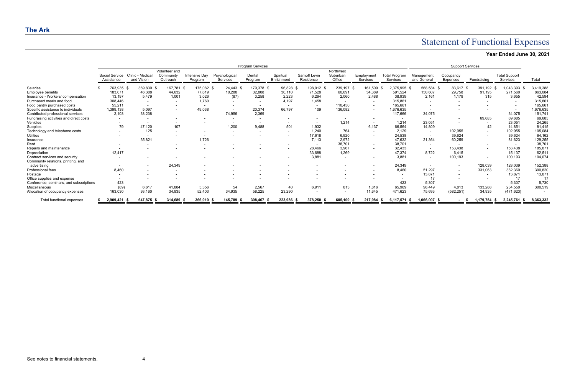# Statement of Functional Expenses

| Year Ended June 30, 2021 |  |  |
|--------------------------|--|--|
|                          |  |  |

|                                                                      | <b>Program Services</b> |                              |                                |                                        |                                 |                           |                   |                          |                            |                                 |                        |                                  |                           |                              |                          |                                  |           |
|----------------------------------------------------------------------|-------------------------|------------------------------|--------------------------------|----------------------------------------|---------------------------------|---------------------------|-------------------|--------------------------|----------------------------|---------------------------------|------------------------|----------------------------------|---------------------------|------------------------------|--------------------------|----------------------------------|-----------|
|                                                                      |                         | Social Service<br>Assistance | Clinic - Medical<br>and Vision | Volunteer and<br>Community<br>Outreach | <b>Intensive Dav</b><br>Program | Psychological<br>Services | Dental<br>Program | Spiritual<br>Enrichment  | Sarnoff Levin<br>Residence | Northwest<br>Suburban<br>Office | Employment<br>Services | <b>Total Program</b><br>Services | Management<br>and General | Occupancy<br><b>Expenses</b> | Fundraising              | <b>Total Support</b><br>Services | Total     |
| Salaries                                                             |                         | 763,935                      | 369,830                        | 167.781                                | 175,082 \$                      | 24.443 \$                 | 179,378 \$        | 96,828 \$                | 198,012 \$                 | 239,197 \$                      | 161,509                | 2,375,995 \$                     | 568,584 \$                | 83,617                       | 391,192                  | ,043,393                         | 3,419,388 |
| Employee benefits                                                    |                         | 183,071                      | 46,388                         | 44,632                                 | 77,619                          | 10,288                    | 32,808            | 30,110                   | 71,528                     | 60,691                          | 34,389                 | 591,524                          | 150,607                   | 29,758                       | 91,195                   | 271,560                          | 863,084   |
| Insurance - Workers' compensation                                    |                         | 13,197                       | 5.479                          | 1,001                                  | 3,026                           | (87)                      | 3,258             | 2,223                    | 6,294                      | 2,060                           | 2,488                  | 38,939                           | 2,161                     | 1,179                        | 315                      | 3,655                            | 42,594    |
| Purchased meals and food                                             |                         | 308,446                      |                                |                                        | 1.760                           | $\overline{a}$            |                   | 4.197                    | 1,458                      |                                 |                        | 315,861                          | $\overline{\phantom{0}}$  |                              |                          | $\overline{\phantom{a}}$         | 315,861   |
| Food pantry purchased costs                                          |                         | 55,211                       |                                |                                        |                                 |                           |                   |                          | $\overline{\phantom{0}}$   | 110,450                         |                        | 165,661                          |                           |                              |                          |                                  | 165,661   |
| Specific assistance to individuals                                   |                         | 1,399,138                    | 5,097                          |                                        | 49,038                          | $\overline{\phantom{a}}$  | 20,374            | 66,797                   | 109                        | 136,082                         |                        | 1,676,635                        |                           |                              |                          | $\overline{\phantom{a}}$         | 1,676,635 |
| Contributed professional services                                    |                         | 2,103                        | 38,238                         |                                        | $\overline{\phantom{0}}$        | 74,956                    | 2,369             | $\overline{\phantom{a}}$ | $\overline{\phantom{0}}$   |                                 |                        | 117,666                          | 34,075                    |                              |                          | 34,075                           | 151,741   |
| Fundraising activities and direct costs                              |                         |                              |                                |                                        |                                 |                           |                   |                          |                            |                                 |                        | $\overline{\phantom{a}}$         | $\overline{\phantom{0}}$  |                              | 69,685                   | 69,685                           | 69,685    |
| Vehicles                                                             |                         |                              |                                |                                        |                                 | $\overline{\phantom{a}}$  |                   |                          |                            | 1,214                           |                        | 1,214                            | 23,051                    |                              | $\overline{\phantom{0}}$ | 23,051                           | 24,265    |
| Supplies                                                             |                         | 79                           | 47.120                         |                                        |                                 | 1,200                     | 9,488             | 501                      | 1,932                      |                                 | 6,137                  | 66,564                           | 14,809                    |                              | 42                       | 14,851                           | 81,415    |
| Technology and telephone costs                                       |                         |                              | 125                            | $\sim$                                 |                                 | $\overline{\phantom{a}}$  | $\sim$            | $\overline{\phantom{0}}$ | 1,240                      | 764                             |                        | 2,129                            | $\overline{\phantom{0}}$  | 102,955                      |                          | 102,955                          | 105,084   |
| <b>Utilities</b>                                                     |                         |                              |                                |                                        |                                 |                           |                   |                          | 17,618                     | 6,920                           |                        | 24,538                           |                           | 39,624                       |                          | 39,624                           | 64,162    |
| Insurance                                                            |                         |                              | 35,821                         |                                        | 1.726                           |                           |                   |                          | 7,113                      | 2,972                           |                        | 47,632                           | 21,364                    | 60,259                       | $\sim$                   | 81,623                           | 129,255   |
| Rent                                                                 |                         |                              |                                |                                        |                                 |                           |                   |                          |                            | 38,701                          |                        | 38,701                           | $\overline{\phantom{a}}$  |                              |                          | $\overline{\phantom{0}}$         | 38,701    |
| Repairs and maintenance                                              |                         |                              |                                |                                        |                                 |                           |                   |                          | 28,466                     | 3.967                           |                        | 32,433                           | $\sim$                    | 153,438                      |                          | 153,438                          | 185,871   |
| Depreciation                                                         |                         | 12,417                       |                                |                                        |                                 |                           |                   |                          | 33,688                     | 1,269                           |                        | 47,374                           | 8,722                     | 6,415                        |                          | 15,137                           | 62,51'    |
| Contract services and security<br>Community relations, printing, and |                         |                              |                                |                                        |                                 |                           |                   |                          | 3,881                      | $\overline{\phantom{a}}$        |                        | 3,881                            | $\blacksquare$            | 100,193                      |                          | 100,193                          | 104,074   |
| advertising                                                          |                         | $\overline{\phantom{a}}$     |                                | 24,349                                 |                                 |                           |                   |                          |                            |                                 |                        | 24,349                           | $\overline{\phantom{a}}$  |                              | 128,039                  | 128,039                          | 152,388   |
| Professional fees                                                    |                         | 8.460                        |                                |                                        |                                 |                           |                   |                          |                            |                                 |                        | 8,460                            | 51,297                    |                              | 331,063                  | 382,360                          | 390,820   |
| Postage                                                              |                         |                              |                                |                                        |                                 |                           |                   |                          |                            |                                 |                        |                                  | 13,871                    |                              |                          | 13,871                           | 13,871    |
| Office supplies and expense                                          |                         |                              |                                |                                        |                                 |                           |                   |                          |                            |                                 |                        |                                  | 17                        |                              |                          | 17                               | 17        |
| Conference, seminars, and subscriptions                              |                         | 423                          |                                |                                        |                                 |                           |                   |                          |                            |                                 |                        | 423                              | 5,307                     |                              |                          | 5,307                            | 5,730     |
| Miscellaneous                                                        |                         | (89)                         | 6,617                          | 41,884                                 | 5,356                           | 54                        | 2,567             | 40                       | 6,911                      | 813                             | 1,816                  | 65,969                           | 96,449                    | 4.813                        | 133,288                  | 234,550                          | 300,519   |
| Allocation of occupancy expenses                                     |                         | 163,030                      | 93,160                         | 34,935                                 | 52,403                          | 34,935                    | 58.225            | 23,290                   |                            |                                 | 11.645                 | 471,623                          | 75,693                    | (582, 251)                   | 34,935                   | (471, 623)                       |           |
| Total functional expenses                                            |                         | 2,909,421                    | 647,875                        | 314,689                                | 366,010                         | 145.789                   | 308,467           | 223,986                  | 378,250                    | 605,100 \$                      | 217,984                | 6,117,571                        | 1,066,007 \$              |                              | $1,179,754$ \$           | 2,245,761                        | 8,363,332 |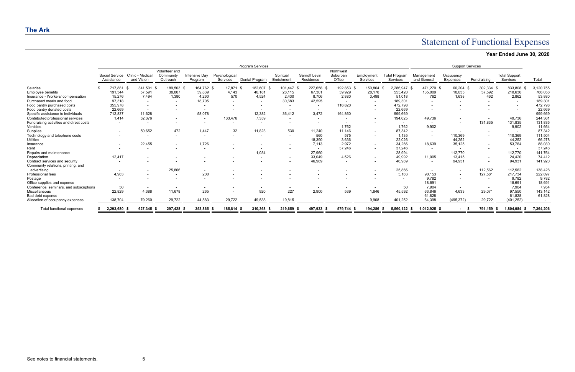# Statement of Functional Expenses

| Year Ended June 30, 2020 |  |  |
|--------------------------|--|--|
|                          |  |  |

|                                         | <b>Program Services</b>      |                                |                                        |                          |                           |                          |                          |                                   | <b>Support Services</b>         |                          |                                  |                           |                       |                          |                                  |           |
|-----------------------------------------|------------------------------|--------------------------------|----------------------------------------|--------------------------|---------------------------|--------------------------|--------------------------|-----------------------------------|---------------------------------|--------------------------|----------------------------------|---------------------------|-----------------------|--------------------------|----------------------------------|-----------|
|                                         | Social Service<br>Assistance | Clinic - Medical<br>and Vision | Volunteer and<br>Community<br>Outreach | Intensive Day<br>Program | Psychological<br>Services | Dental Program           | Spiritual<br>Enrichment  | <b>Sarnoff Levin</b><br>Residence | Northwest<br>Suburban<br>Office | Employment<br>Services   | <b>Total Program</b><br>Services | Management<br>and General | Occupancy<br>Expenses | Fundraising              | <b>Total Support</b><br>Services | Total     |
| Salaries                                | 717,881                      | 341,501                        | 189,503 \$                             | 164,762 \$               | 17,871 \$                 | 182,607 \$               | 101.447 \$               | 227,658 \$                        | 192,853 \$                      | 150,864                  | 2,286,947 \$                     | 471,270 \$                | 60,204                | 302,334                  | 833,808                          | 3,120,755 |
| Employee benefits                       | 191,344                      | 57,591                         | 38,807                                 | 59,839                   | 4.143                     | 40,181                   | 28,115                   | 67,301                            | 39,929                          | 28,170                   | 555,420                          | 135,009                   | 18,035                | 57,592                   | 210,636                          | 766,056   |
| Insurance - Workers' compensation       | 15,276                       | 7,494                          | 1,380                                  | 4,260                    | 570                       | 4,524                    | 2,430                    | 8,706                             | 2,880                           | 3,498                    | 51,018                           | 762                       | 1,638                 | 462                      | 2,862                            | 53,880    |
| Purchased meals and food                | 97,318                       | $\sim$                         | $\sim$                                 | 18,705                   | $\overline{\phantom{0}}$  | $\overline{\phantom{a}}$ | 30,683                   | 42,595                            |                                 | $\overline{\phantom{0}}$ | 189,301                          | $\overline{\phantom{0}}$  |                       | $\overline{\phantom{0}}$ | $\overline{\phantom{a}}$         | 189,301   |
| Food pantry purchased costs             | 355,978                      |                                |                                        |                          |                           |                          | $\overline{\phantom{a}}$ | $\overline{\phantom{a}}$          | 116,820                         | $\overline{\phantom{a}}$ | 472,798                          |                           |                       |                          |                                  | 472,798   |
| Food pantry donated costs               | 22,669                       |                                |                                        |                          |                           |                          |                          |                                   |                                 | $\overline{\phantom{a}}$ | 22,669                           |                           |                       |                          |                                  | 22,669    |
| Specific assistance to individuals      | 712,837                      | 11,628                         |                                        | 58,078                   |                           | 12,382                   | 36,412                   | 3,472                             | 164,860                         | $\overline{\phantom{0}}$ | 999,669                          |                           |                       |                          | $\overline{\phantom{0}}$         | 999,669   |
| Contributed professional services       | 1.414                        | 52,376                         |                                        | $\sim$                   | 133,476                   | 7,359                    | $\overline{\phantom{a}}$ | $\overline{\phantom{a}}$          |                                 | $\overline{\phantom{a}}$ | 194,625                          | 49,736                    |                       |                          | 49,736                           | 244,361   |
| Fundraising activities and direct costs |                              | $\overline{\phantom{0}}$       |                                        |                          |                           | $\overline{\phantom{0}}$ |                          |                                   |                                 |                          | $\sim$                           |                           |                       | 131,835                  | 131,835                          | 131,835   |
| Vehicles                                |                              |                                |                                        |                          |                           |                          |                          |                                   | 1,762                           | ٠                        | 1,762                            | 9,902                     |                       | $\overline{\phantom{a}}$ | 9,902                            | 11,664    |
| Supplies                                |                              | 50,652                         | 472                                    | 1.447                    | 32                        | 11,823                   | 530                      | 11,240                            | 11,146                          | $\overline{\phantom{a}}$ | 87,342                           | $\overline{\phantom{0}}$  |                       | $\overline{\phantom{a}}$ | $\overline{\phantom{a}}$         | 87,342    |
| Technology and telephone costs          |                              |                                |                                        |                          |                           | $\overline{\phantom{a}}$ |                          | 560                               | 575                             | ٠                        | 1,135                            | $\overline{\phantom{0}}$  | 110,369               | $\sim$                   | 110,369                          | 111,504   |
| <b>Utilities</b>                        |                              | $\overline{\phantom{a}}$       |                                        |                          |                           |                          |                          | 18,390                            | 3,636                           | $\overline{\phantom{a}}$ | 22,026                           | $\overline{\phantom{a}}$  | 44,252                | $\sim$                   | 44,252                           | 66,278    |
| Insurance                               |                              | 22,455                         |                                        | 1.726                    |                           |                          |                          | 7,113                             | 2,972                           | $\blacksquare$           | 34,266                           | 18,639                    | 35,125                | $\overline{\phantom{0}}$ | 53,764                           | 88,030    |
| Rent                                    |                              |                                |                                        |                          |                           |                          |                          | $\sim$                            | 37,246                          | ٠                        | 37,246                           | $\overline{\phantom{a}}$  |                       |                          | $\overline{\phantom{a}}$         | 37,246    |
| Repairs and maintenance                 |                              |                                |                                        |                          |                           | 1,034                    |                          | 27,960                            |                                 | $\overline{\phantom{a}}$ | 28,994                           | $\overline{\phantom{a}}$  | 112,770               | $\sim$                   | 112,770                          | 141,764   |
| Depreciation                            | 12,417                       |                                |                                        |                          |                           |                          |                          | 33,049                            | 4,526                           | $\overline{\phantom{0}}$ | 49,992                           | 11,005                    | 13,415                |                          | 24,420                           | 74,412    |
| Contract services and security          |                              |                                |                                        |                          |                           |                          | $\overline{\phantom{a}}$ | 46,989                            | $\overline{\phantom{a}}$        | $\sim$                   | 46,989                           | $\overline{\phantom{0}}$  | 94,931                | $\overline{\phantom{a}}$ | 94,931                           | 141,920   |
| Community relations, printing, and      |                              |                                |                                        |                          |                           |                          |                          |                                   |                                 |                          |                                  |                           |                       | 112,562                  | 112,562                          | 138,428   |
| advertising                             |                              |                                | 25,866                                 |                          |                           |                          |                          |                                   |                                 |                          | 25,866                           |                           |                       |                          |                                  |           |
| Professional fees                       | 4,963                        |                                |                                        | 200                      |                           |                          |                          |                                   |                                 |                          | 5,163                            | 90,153                    |                       | 127,581                  | 217,734                          | 222,897   |
| Postage                                 |                              |                                |                                        |                          |                           |                          |                          |                                   |                                 |                          |                                  | 9,782                     |                       | $\overline{\phantom{a}}$ | 9,782                            | 9,782     |
| Office supplies and expense             |                              |                                |                                        |                          |                           |                          |                          |                                   |                                 |                          |                                  | 18,691                    |                       |                          | 18,691                           | 18,691    |
| Conference, seminars, and subscriptions | 50                           | $\overline{\phantom{0}}$       | $\sim$                                 |                          |                           | $\overline{\phantom{a}}$ | $\overline{a}$           | $\overline{\phantom{a}}$          |                                 | $\overline{\phantom{a}}$ | 50                               | 7,904                     |                       | $\sim$                   | 7,904                            | 7,954     |
| Miscellaneous                           | 22,829                       | 4,388                          | 11,678                                 | 265                      |                           | 920                      | 227                      | 2,900                             | 539                             | 1,846                    | 45,592                           | 63,846                    | 4,633                 | 29,071                   | 97,550                           | 143,142   |
| Bad debt expense                        | $\overline{\phantom{a}}$     |                                |                                        |                          |                           |                          |                          |                                   |                                 | $\overline{\phantom{a}}$ |                                  | 61,828                    |                       | $\overline{\phantom{a}}$ | 61,828                           | 61,828    |
| Allocation of occupancy expenses        | 138,704                      | 79,260                         | 29,722                                 | 44,583                   | 29,722                    | 49,538                   | 19,815                   |                                   |                                 | 9,908                    | 401,252                          | 64,398                    | (495, 372)            | 29,722                   | (401, 252)                       |           |
| Total functional expenses               | 2,293,680                    | 627,345                        | 297.428                                | 353,865 \$               | 185,814                   | 310,368                  | 219,659                  | 497,933                           | 579,744 \$                      | 194,286                  | 5,560,122 \$<br>- 56             | 1,012,925 \$              |                       | 791,159                  | 1,804,084                        | 7,364,206 |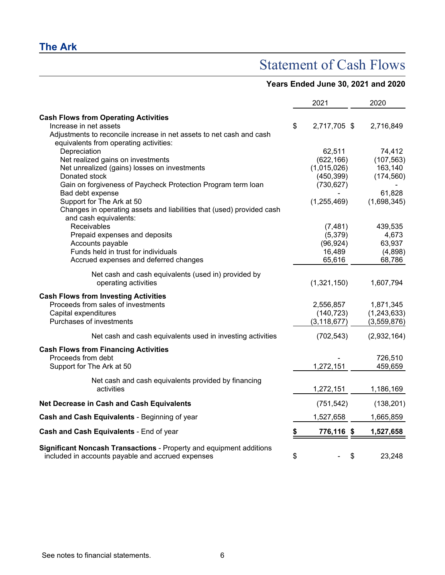## **The Ark**

## Statement of Cash Flows

### **Years Ended June 30, 2021 and 2020**

|                                                                                                                          | 2021               | 2020          |
|--------------------------------------------------------------------------------------------------------------------------|--------------------|---------------|
| <b>Cash Flows from Operating Activities</b>                                                                              |                    |               |
| Increase in net assets                                                                                                   | \$<br>2,717,705 \$ | 2,716,849     |
| Adjustments to reconcile increase in net assets to net cash and cash                                                     |                    |               |
| equivalents from operating activities:                                                                                   |                    |               |
| Depreciation                                                                                                             | 62,511             | 74,412        |
| Net realized gains on investments                                                                                        | (622, 166)         | (107, 563)    |
| Net unrealized (gains) losses on investments                                                                             | (1,015,026)        | 163,140       |
| Donated stock                                                                                                            | (450, 399)         | (174, 560)    |
| Gain on forgiveness of Paycheck Protection Program term loan                                                             | (730, 627)         |               |
| Bad debt expense                                                                                                         |                    | 61,828        |
| Support for The Ark at 50                                                                                                | (1, 255, 469)      | (1,698,345)   |
| Changes in operating assets and liabilities that (used) provided cash                                                    |                    |               |
| and cash equivalents:                                                                                                    |                    |               |
| Receivables                                                                                                              | (7, 481)           | 439,535       |
| Prepaid expenses and deposits                                                                                            | (5, 379)           | 4,673         |
| Accounts payable                                                                                                         | (96, 924)          | 63,937        |
| Funds held in trust for individuals                                                                                      | 16,489             | (4,898)       |
| Accrued expenses and deferred changes                                                                                    | 65,616             | 68,786        |
| Net cash and cash equivalents (used in) provided by                                                                      |                    |               |
| operating activities                                                                                                     | (1,321,150)        | 1,607,794     |
| <b>Cash Flows from Investing Activities</b>                                                                              |                    |               |
| Proceeds from sales of investments                                                                                       | 2,556,857          | 1,871,345     |
| Capital expenditures                                                                                                     | (140, 723)         | (1, 243, 633) |
| Purchases of investments                                                                                                 | (3, 118, 677)      | (3,559,876)   |
|                                                                                                                          |                    |               |
| Net cash and cash equivalents used in investing activities                                                               | (702, 543)         | (2,932,164)   |
| <b>Cash Flows from Financing Activities</b>                                                                              |                    |               |
| Proceeds from debt                                                                                                       |                    | 726,510       |
| Support for The Ark at 50                                                                                                | 1,272,151          | 459,659       |
| Net cash and cash equivalents provided by financing                                                                      |                    |               |
| activities                                                                                                               | 1,272,151          | 1,186,169     |
| Net Decrease in Cash and Cash Equivalents                                                                                | (751, 542)         | (138, 201)    |
| Cash and Cash Equivalents - Beginning of year                                                                            | 1,527,658          | 1,665,859     |
| Cash and Cash Equivalents - End of year                                                                                  | \$<br>776,116 \$   | 1,527,658     |
| Significant Noncash Transactions - Property and equipment additions<br>included in accounts payable and accrued expenses | \$                 | \$<br>23,248  |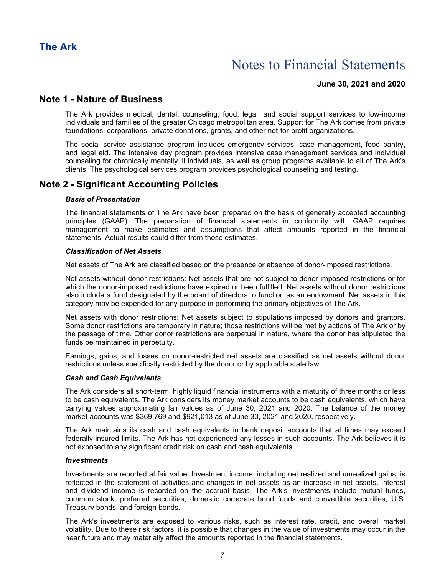#### **June 30, 2021 and 2020**

### **Note 1 - Nature of Business**

The Ark provides medical, dental, counseling, food, legal, and social support services to low-income individuals and families of the greater Chicago metropolitan area. Support for The Ark comes from private foundations, corporations, private donations, grants, and other not-for-profit organizations.

The social service assistance program includes emergency services, case management, food pantry, and legal aid. The intensive day program provides intensive case management services and individual counseling for chronically mentally ill individuals, as well as group programs available to all of The Ark's clients. The psychological services program provides psychological counseling and testing.

### **Note 2 - Significant Accounting Policies**

#### *Basis of Presentation*

The financial statements of The Ark have been prepared on the basis of generally accepted accounting principles (GAAP). The preparation of financial statements in conformity with GAAP requires management to make estimates and assumptions that affect amounts reported in the financial statements. Actual results could differ from those estimates.

#### *Classification of Net Assets*

Net assets of The Ark are classified based on the presence or absence of donor-imposed restrictions.

Net assets without donor restrictions: Net assets that are not subject to donor-imposed restrictions or for which the donor-imposed restrictions have expired or been fulfilled. Net assets without donor restrictions also include a fund designated by the board of directors to function as an endowment. Net assets in this category may be expended for any purpose in performing the primary objectives of The Ark.

Net assets with donor restrictions: Net assets subject to stipulations imposed by donors and grantors. Some donor restrictions are temporary in nature; those restrictions will be met by actions of The Ark or by the passage of time. Other donor restrictions are perpetual in nature, where the donor has stipulated the funds be maintained in perpetuity.

Earnings, gains, and losses on donor-restricted net assets are classified as net assets without donor restrictions unless specifically restricted by the donor or by applicable state law.

#### *Cash and Cash Equivalents*

The Ark considers all short-term, highly liquid financial instruments with a maturity of three months or less to be cash equivalents. The Ark considers its money market accounts to be cash equivalents, which have carrying values approximating fair values as of June 30, 2021 and 2020. The balance of the money market accounts was \$369,769 and \$921,013 as of June 30, 2021 and 2020, respectively.

The Ark maintains its cash and cash equivalents in bank deposit accounts that at times may exceed federally insured limits. The Ark has not experienced any losses in such accounts. The Ark believes it is not exposed to any significant credit risk on cash and cash equivalents.

#### *Investments*

Investments are reported at fair value. Investment income, including net realized and unrealized gains, is reflected in the statement of activities and changes in net assets as an increase in net assets. Interest and dividend income is recorded on the accrual basis. The Ark's investments include mutual funds, common stock, preferred securities, domestic corporate bond funds and convertible securities, U.S. Treasury bonds, and foreign bonds.

The Ark's investments are exposed to various risks, such as interest rate, credit, and overall market volatility. Due to these risk factors, it is possible that changes in the value of investments may occur in the near future and may materially affect the amounts reported in the financial statements.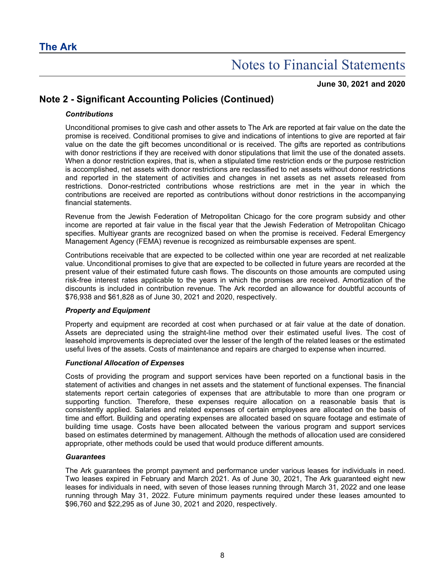#### **June 30, 2021 and 2020**

## **Note 2 - Significant Accounting Policies (Continued)**

#### *Contributions*

Unconditional promises to give cash and other assets to The Ark are reported at fair value on the date the promise is received. Conditional promises to give and indications of intentions to give are reported at fair value on the date the gift becomes unconditional or is received. The gifts are reported as contributions with donor restrictions if they are received with donor stipulations that limit the use of the donated assets. When a donor restriction expires, that is, when a stipulated time restriction ends or the purpose restriction is accomplished, net assets with donor restrictions are reclassified to net assets without donor restrictions and reported in the statement of activities and changes in net assets as net assets released from restrictions. Donor-restricted contributions whose restrictions are met in the year in which the contributions are received are reported as contributions without donor restrictions in the accompanying financial statements.

Revenue from the Jewish Federation of Metropolitan Chicago for the core program subsidy and other income are reported at fair value in the fiscal year that the Jewish Federation of Metropolitan Chicago specifies. Multiyear grants are recognized based on when the promise is received. Federal Emergency Management Agency (FEMA) revenue is recognized as reimbursable expenses are spent.

Contributions receivable that are expected to be collected within one year are recorded at net realizable value. Unconditional promises to give that are expected to be collected in future years are recorded at the present value of their estimated future cash flows. The discounts on those amounts are computed using risk-free interest rates applicable to the years in which the promises are received. Amortization of the discounts is included in contribution revenue. The Ark recorded an allowance for doubtful accounts of \$76,938 and \$61,828 as of June 30, 2021 and 2020, respectively.

#### *Property and Equipment*

Property and equipment are recorded at cost when purchased or at fair value at the date of donation. Assets are depreciated using the straight-line method over their estimated useful lives. The cost of leasehold improvements is depreciated over the lesser of the length of the related leases or the estimated useful lives of the assets. Costs of maintenance and repairs are charged to expense when incurred.

#### *Functional Allocation of Expenses*

Costs of providing the program and support services have been reported on a functional basis in the statement of activities and changes in net assets and the statement of functional expenses. The financial statements report certain categories of expenses that are attributable to more than one program or supporting function. Therefore, these expenses require allocation on a reasonable basis that is consistently applied. Salaries and related expenses of certain employees are allocated on the basis of time and effort. Building and operating expenses are allocated based on square footage and estimate of building time usage. Costs have been allocated between the various program and support services based on estimates determined by management. Although the methods of allocation used are considered appropriate, other methods could be used that would produce different amounts.

#### *Guarantees*

The Ark guarantees the prompt payment and performance under various leases for individuals in need. Two leases expired in February and March 2021. As of June 30, 2021, The Ark guaranteed eight new leases for individuals in need, with seven of those leases running through March 31, 2022 and one lease running through May 31, 2022. Future minimum payments required under these leases amounted to \$96,760 and \$22,295 as of June 30, 2021 and 2020, respectively.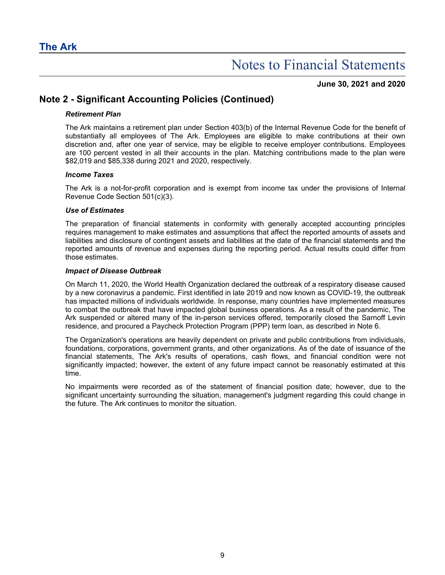**June 30, 2021 and 2020**

### **Note 2 - Significant Accounting Policies (Continued)**

#### *Retirement Plan*

The Ark maintains a retirement plan under Section 403(b) of the Internal Revenue Code for the benefit of substantially all employees of The Ark. Employees are eligible to make contributions at their own discretion and, after one year of service, may be eligible to receive employer contributions. Employees are 100 percent vested in all their accounts in the plan. Matching contributions made to the plan were \$82,019 and \$85,338 during 2021 and 2020, respectively.

#### *Income Taxes*

The Ark is a not-for-profit corporation and is exempt from income tax under the provisions of Internal Revenue Code Section 501(c)(3).

#### *Use of Estimates*

The preparation of financial statements in conformity with generally accepted accounting principles requires management to make estimates and assumptions that affect the reported amounts of assets and liabilities and disclosure of contingent assets and liabilities at the date of the financial statements and the reported amounts of revenue and expenses during the reporting period. Actual results could differ from those estimates.

#### *Impact of Disease Outbreak*

On March 11, 2020, the World Health Organization declared the outbreak of a respiratory disease caused by a new coronavirus a pandemic. First identified in late 2019 and now known as COVID-19, the outbreak has impacted millions of individuals worldwide. In response, many countries have implemented measures to combat the outbreak that have impacted global business operations. As a result of the pandemic, The Ark suspended or altered many of the in-person services offered, temporarily closed the Sarnoff Levin residence, and procured a Paycheck Protection Program (PPP) term loan, as described in Note 6.

The Organization's operations are heavily dependent on private and public contributions from individuals, foundations, corporations, government grants, and other organizations. As of the date of issuance of the financial statements, The Ark's results of operations, cash flows, and financial condition were not significantly impacted; however, the extent of any future impact cannot be reasonably estimated at this time.

No impairments were recorded as of the statement of financial position date; however, due to the significant uncertainty surrounding the situation, management's judgment regarding this could change in the future. The Ark continues to monitor the situation.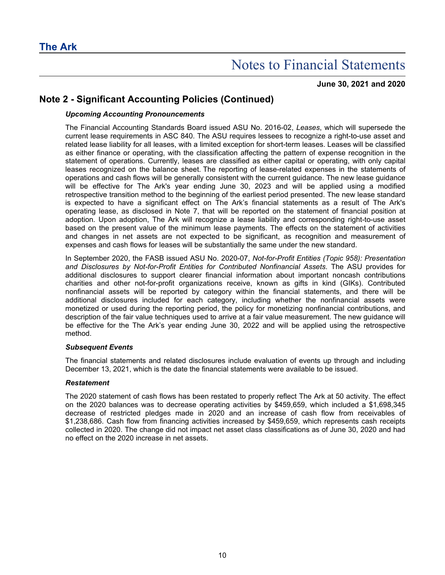#### **June 30, 2021 and 2020**

### **Note 2 - Significant Accounting Policies (Continued)**

#### *Upcoming Accounting Pronouncements*

The Financial Accounting Standards Board issued ASU No. 2016-02, *Leases*, which will supersede the current lease requirements in ASC 840. The ASU requires lessees to recognize a right-to-use asset and related lease liability for all leases, with a limited exception for short-term leases. Leases will be classified as either finance or operating, with the classification affecting the pattern of expense recognition in the statement of operations. Currently, leases are classified as either capital or operating, with only capital leases recognized on the balance sheet. The reporting of lease-related expenses in the statements of operations and cash flows will be generally consistent with the current guidance. The new lease guidance will be effective for The Ark's year ending June 30, 2023 and will be applied using a modified retrospective transition method to the beginning of the earliest period presented. The new lease standard is expected to have a significant effect on The Ark's financial statements as a result of The Ark's operating lease, as disclosed in Note 7, that will be reported on the statement of financial position at adoption. Upon adoption, The Ark will recognize a lease liability and corresponding right-to-use asset based on the present value of the minimum lease payments. The effects on the statement of activities and changes in net assets are not expected to be significant, as recognition and measurement of expenses and cash flows for leases will be substantially the same under the new standard.

In September 2020, the FASB issued ASU No. 2020-07, *Not-for-Profit Entities (Topic 958): Presentation and Disclosures by Not-for-Profit Entities for Contributed Nonfinancial Assets*. The ASU provides for additional disclosures to support clearer financial information about important noncash contributions charities and other not-for-profit organizations receive, known as gifts in kind (GIKs). Contributed nonfinancial assets will be reported by category within the financial statements, and there will be additional disclosures included for each category, including whether the nonfinancial assets were monetized or used during the reporting period, the policy for monetizing nonfinancial contributions, and description of the fair value techniques used to arrive at a fair value measurement. The new guidance will be effective for the The Ark's year ending June 30, 2022 and will be applied using the retrospective method.

#### *Subsequent Events*

The financial statements and related disclosures include evaluation of events up through and including December 13, 2021, which is the date the financial statements were available to be issued.

#### *Restatement*

The 2020 statement of cash flows has been restated to properly reflect The Ark at 50 activity. The effect on the 2020 balances was to decrease operating activities by \$459,659, which included a \$1,698,345 decrease of restricted pledges made in 2020 and an increase of cash flow from receivables of \$1,238,686. Cash flow from financing activities increased by \$459,659, which represents cash receipts collected in 2020. The change did not impact net asset class classifications as of June 30, 2020 and had no effect on the 2020 increase in net assets.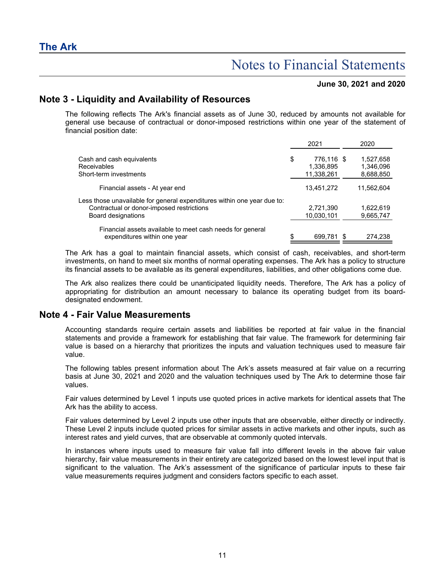#### **June 30, 2021 and 2020**

### **Note 3 - Liquidity and Availability of Resources**

The following reflects The Ark's financial assets as of June 30, reduced by amounts not available for general use because of contractual or donor-imposed restrictions within one year of the statement of financial position date:

|                                                                                                                                            | 2021                                        | 2020                                |
|--------------------------------------------------------------------------------------------------------------------------------------------|---------------------------------------------|-------------------------------------|
| Cash and cash equivalents<br><b>Receivables</b><br>Short-term investments                                                                  | \$<br>776,116 \$<br>1,336,895<br>11,338,261 | 1,527,658<br>1,346,096<br>8,688,850 |
| Financial assets - At year end                                                                                                             | 13,451,272                                  | 11,562,604                          |
| Less those unavailable for general expenditures within one year due to:<br>Contractual or donor-imposed restrictions<br>Board designations | 2,721,390<br>10,030,101                     | 1,622,619<br>9,665,747              |
| Financial assets available to meet cash needs for general<br>expenditures within one year                                                  | \$<br>699.781 \$                            | 274,238                             |

The Ark has a goal to maintain financial assets, which consist of cash, receivables, and short-term investments, on hand to meet six months of normal operating expenses. The Ark has a policy to structure its financial assets to be available as its general expenditures, liabilities, and other obligations come due.

The Ark also realizes there could be unanticipated liquidity needs. Therefore, The Ark has a policy of appropriating for distribution an amount necessary to balance its operating budget from its boarddesignated endowment.

#### **Note 4 - Fair Value Measurements**

Accounting standards require certain assets and liabilities be reported at fair value in the financial statements and provide a framework for establishing that fair value. The framework for determining fair value is based on a hierarchy that prioritizes the inputs and valuation techniques used to measure fair value.

The following tables present information about The Ark's assets measured at fair value on a recurring basis at June 30, 2021 and 2020 and the valuation techniques used by The Ark to determine those fair values.

Fair values determined by Level 1 inputs use quoted prices in active markets for identical assets that The Ark has the ability to access.

Fair values determined by Level 2 inputs use other inputs that are observable, either directly or indirectly. These Level 2 inputs include quoted prices for similar assets in active markets and other inputs, such as interest rates and yield curves, that are observable at commonly quoted intervals.

In instances where inputs used to measure fair value fall into different levels in the above fair value hierarchy, fair value measurements in their entirety are categorized based on the lowest level input that is significant to the valuation. The Ark's assessment of the significance of particular inputs to these fair value measurements requires judgment and considers factors specific to each asset.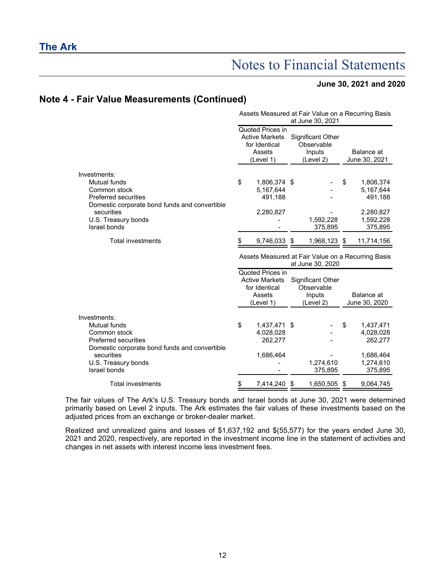#### **June 30, 2021 and 2020**

### **Note 4 - Fair Value Measurements (Continued)**

|                                                                                                                                                                                          |                                                                                   |                                                                                   |    | Assets Measured at Fair Value on a Recurring Basis<br>at June 30, 2021 |                             |                                                                        |  |
|------------------------------------------------------------------------------------------------------------------------------------------------------------------------------------------|-----------------------------------------------------------------------------------|-----------------------------------------------------------------------------------|----|------------------------------------------------------------------------|-----------------------------|------------------------------------------------------------------------|--|
|                                                                                                                                                                                          | Quoted Prices in<br><b>Active Markets</b><br>for Identical<br>Assets<br>(Level 1) |                                                                                   |    | Significant Other<br>Observable<br>Inputs<br>(Level 2)                 | Balance at<br>June 30, 2021 |                                                                        |  |
| Investments:<br><b>Mutual funds</b><br>Common stock<br><b>Preferred securities</b><br>Domestic corporate bond funds and convertible<br>securities<br>U.S. Treasury bonds<br>Israel bonds | \$                                                                                | 1,806,374 \$<br>5,167,644<br>491,188<br>2,280,827                                 |    | 1,592,228<br>375,895                                                   | \$                          | 1,806,374<br>5,167,644<br>491,188<br>2,280,827<br>1,592,228<br>375,895 |  |
| <b>Total investments</b>                                                                                                                                                                 | \$                                                                                | 9,746,033                                                                         | \$ | 1,968,123 \$                                                           |                             | 11,714,156                                                             |  |
|                                                                                                                                                                                          |                                                                                   |                                                                                   |    | Assets Measured at Fair Value on a Recurring Basis<br>at June 30, 2020 |                             |                                                                        |  |
|                                                                                                                                                                                          |                                                                                   | Quoted Prices in<br><b>Active Markets</b><br>for Identical<br>Assets<br>(Level 1) |    | <b>Significant Other</b><br>Observable<br>Inputs<br>(Level 2)          |                             | Balance at<br>June 30, 2020                                            |  |
| Investments:<br>Mutual funds<br>Common stock<br><b>Preferred securities</b><br>Domestic corporate bond funds and convertible<br>securities<br>U.S. Treasury bonds                        | \$                                                                                | 1,437,471 \$<br>4,028,028<br>262,277<br>1,686,464                                 |    | 1,274,610                                                              | S                           | 1,437,471<br>4,028,028<br>262,277<br>1,686,464<br>1,274,610            |  |
|                                                                                                                                                                                          |                                                                                   |                                                                                   |    |                                                                        |                             |                                                                        |  |
| Israel bonds<br><b>Total investments</b>                                                                                                                                                 | \$                                                                                | 7,414,240                                                                         | \$ | 375,895<br>1,650,505                                                   | S                           | 375,895<br>9,064,745                                                   |  |

The fair values of The Ark's U.S. Treasury bonds and Israel bonds at June 30, 2021 were determined primarily based on Level 2 inputs. The Ark estimates the fair values of these investments based on the adjusted prices from an exchange or broker-dealer market.

Realized and unrealized gains and losses of \$1,637,192 and \$(55,577) for the years ended June 30, 2021 and 2020, respectively, are reported in the investment income line in the statement of activities and changes in net assets with interest income less investment fees.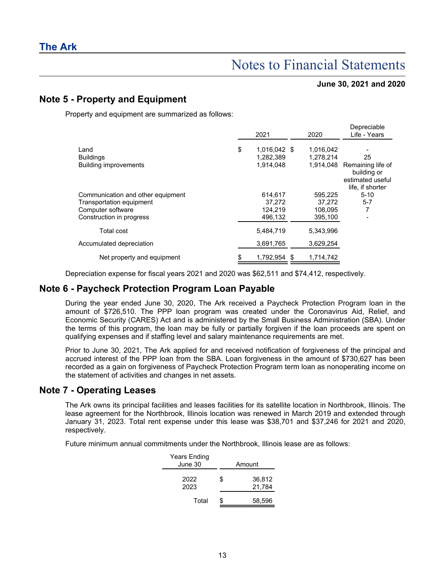#### **June 30, 2021 and 2020**

### **Note 5 - Property and Equipment**

Property and equipment are summarized as follows:

|                                                          | 2021                                         | 2020                   | Depreciable<br>Life - Years                         |
|----------------------------------------------------------|----------------------------------------------|------------------------|-----------------------------------------------------|
| Land<br><b>Buildings</b><br><b>Building improvements</b> | \$<br>1,016,042 \$<br>1.282.389<br>1,914,048 | 1.016.042<br>1.278.214 | 25<br>1,914,048 Remaining life of                   |
|                                                          |                                              |                        | building or<br>estimated useful<br>life, if shorter |
| Communication and other equipment                        | 614,617                                      | 595.225                | $5 - 10$                                            |
| Transportation equipment                                 | 37.272                                       | 37.272                 | $5 - 7$                                             |
| Computer software                                        | 124.219                                      | 108.095                |                                                     |
| Construction in progress                                 | 496,132                                      | 395,100                |                                                     |
| Total cost                                               | 5,484,719                                    | 5.343.996              |                                                     |
| Accumulated depreciation                                 | 3,691,765                                    | 3,629,254              |                                                     |
| Net property and equipment                               | \$<br>1.792.954 \$                           | 1.714.742              |                                                     |

Depreciation expense for fiscal years 2021 and 2020 was \$62,511 and \$74,412, respectively.

### **Note 6 - Paycheck Protection Program Loan Payable**

During the year ended June 30, 2020, The Ark received a Paycheck Protection Program loan in the amount of \$726,510. The PPP loan program was created under the Coronavirus Aid, Relief, and Economic Security (CARES) Act and is administered by the Small Business Administration (SBA). Under the terms of this program, the loan may be fully or partially forgiven if the loan proceeds are spent on qualifying expenses and if staffing level and salary maintenance requirements are met.

Prior to June 30, 2021, The Ark applied for and received notification of forgiveness of the principal and accrued interest of the PPP loan from the SBA. Loan forgiveness in the amount of \$730,627 has been recorded as a gain on forgiveness of Paycheck Protection Program term loan as nonoperating income on the statement of activities and changes in net assets.

#### **Note 7 - Operating Leases**

The Ark owns its principal facilities and leases facilities for its satellite location in Northbrook, Illinois. The lease agreement for the Northbrook, Illinois location was renewed in March 2019 and extended through January 31, 2023. Total rent expense under this lease was \$38,701 and \$37,246 for 2021 and 2020, respectively.

Future minimum annual commitments under the Northbrook, Illinois lease are as follows:

| Years Ending<br>June 30 | Amount                 |
|-------------------------|------------------------|
| 2022<br>2023            | \$<br>36,812<br>21,784 |
| Total                   | 58,596                 |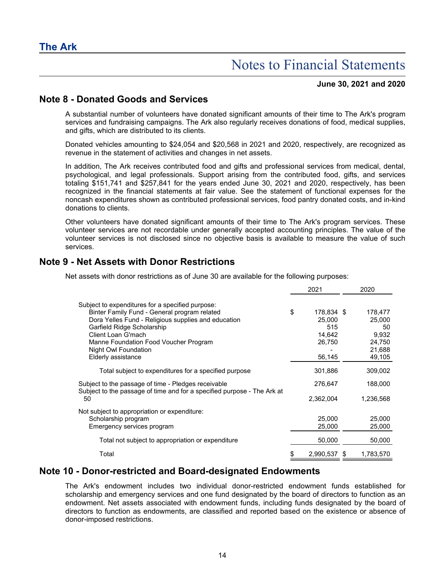#### **June 30, 2021 and 2020**

### **Note 8 - Donated Goods and Services**

A substantial number of volunteers have donated significant amounts of their time to The Ark's program services and fundraising campaigns. The Ark also regularly receives donations of food, medical supplies, and gifts, which are distributed to its clients.

Donated vehicles amounting to \$24,054 and \$20,568 in 2021 and 2020, respectively, are recognized as revenue in the statement of activities and changes in net assets.

In addition, The Ark receives contributed food and gifts and professional services from medical, dental, psychological, and legal professionals. Support arising from the contributed food, gifts, and services totaling \$151,741 and \$257,841 for the years ended June 30, 2021 and 2020, respectively, has been recognized in the financial statements at fair value. See the statement of functional expenses for the noncash expenditures shown as contributed professional services, food pantry donated costs, and in-kind donations to clients.

Other volunteers have donated significant amounts of their time to The Ark's program services. These volunteer services are not recordable under generally accepted accounting principles. The value of the volunteer services is not disclosed since no objective basis is available to measure the value of such services.

### **Note 9 - Net Assets with Donor Restrictions**

Net assets with donor restrictions as of June 30 are available for the following purposes:

|                                                                                                                                                                                                                                                                                                    | 2021                                                            |     | 2020                                                           |
|----------------------------------------------------------------------------------------------------------------------------------------------------------------------------------------------------------------------------------------------------------------------------------------------------|-----------------------------------------------------------------|-----|----------------------------------------------------------------|
| Subject to expenditures for a specified purpose:<br>Binter Family Fund - General program related<br>Dora Yelles Fund - Religious supplies and education<br>Garfield Ridge Scholarship<br>Client Loan G'mach<br>Manne Foundation Food Voucher Program<br>Night Owl Foundation<br>Elderly assistance | \$<br>178,834 \$<br>25.000<br>515<br>14,642<br>26,750<br>56,145 |     | 178,477<br>25,000<br>50<br>9.932<br>24,750<br>21,688<br>49,105 |
| Total subject to expenditures for a specified purpose                                                                                                                                                                                                                                              | 301,886                                                         |     | 309,002                                                        |
| Subject to the passage of time - Pledges receivable<br>Subject to the passage of time and for a specified purpose - The Ark at<br>50                                                                                                                                                               | 276,647<br>2,362,004                                            |     | 188,000<br>1,236,568                                           |
| Not subject to appropriation or expenditure:<br>Scholarship program<br>Emergency services program                                                                                                                                                                                                  | 25,000<br>25,000                                                |     | 25,000<br>25,000                                               |
| Total not subject to appropriation or expenditure                                                                                                                                                                                                                                                  | 50,000                                                          |     | 50,000                                                         |
| Total                                                                                                                                                                                                                                                                                              | 2,990,537                                                       | - 5 | 1,783,570                                                      |

### **Note 10 - Donor-restricted and Board-designated Endowments**

The Ark's endowment includes two individual donor-restricted endowment funds established for scholarship and emergency services and one fund designated by the board of directors to function as an endowment. Net assets associated with endowment funds, including funds designated by the board of directors to function as endowments, are classified and reported based on the existence or absence of donor-imposed restrictions.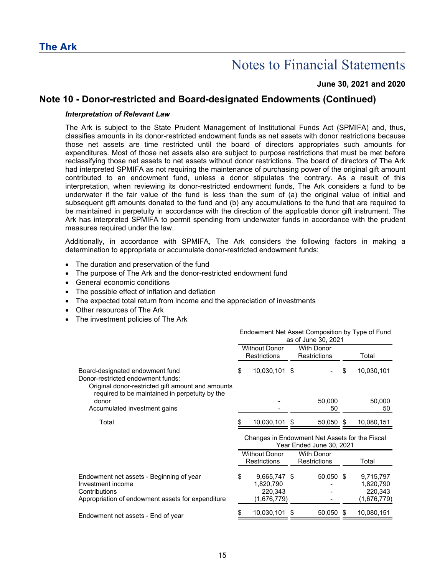#### **June 30, 2021 and 2020**

### **Note 10 - Donor-restricted and Board-designated Endowments (Continued)**

#### *Interpretation of Relevant Law*

The Ark is subject to the State Prudent Management of Institutional Funds Act (SPMIFA) and, thus, classifies amounts in its donor-restricted endowment funds as net assets with donor restrictions because those net assets are time restricted until the board of directors appropriates such amounts for expenditures. Most of those net assets also are subject to purpose restrictions that must be met before reclassifying those net assets to net assets without donor restrictions. The board of directors of The Ark had interpreted SPMIFA as not requiring the maintenance of purchasing power of the original gift amount contributed to an endowment fund, unless a donor stipulates the contrary. As a result of this interpretation, when reviewing its donor-restricted endowment funds, The Ark considers a fund to be underwater if the fair value of the fund is less than the sum of (a) the original value of initial and subsequent gift amounts donated to the fund and (b) any accumulations to the fund that are required to be maintained in perpetuity in accordance with the direction of the applicable donor gift instrument. The Ark has interpreted SPMIFA to permit spending from underwater funds in accordance with the prudent measures required under the law.

Additionally, in accordance with SPMIFA, The Ark considers the following factors in making a determination to appropriate or accumulate donor-restricted endowment funds:

- The duration and preservation of the fund
- The purpose of The Ark and the donor-restricted endowment fund
- General economic conditions
- The possible effect of inflation and deflation
- The expected total return from income and the appreciation of investments
- Other resources of The Ark
- The investment policies of The Ark

|                                                                                                                                                                             | Endowment Net Asset Composition by Type of Fund<br>as of June 30, 2021 |                                                     |                                                                            |                                   |    |                                                  |  |
|-----------------------------------------------------------------------------------------------------------------------------------------------------------------------------|------------------------------------------------------------------------|-----------------------------------------------------|----------------------------------------------------------------------------|-----------------------------------|----|--------------------------------------------------|--|
|                                                                                                                                                                             | <b>Without Donor</b><br><b>Restrictions</b>                            |                                                     | <b>With Donor</b><br><b>Restrictions</b>                                   |                                   |    | Total                                            |  |
| Board-designated endowment fund<br>Donor-restricted endowment funds:<br>Original donor-restricted gift amount and amounts<br>required to be maintained in perpetuity by the | \$                                                                     | 10,030,101 \$                                       |                                                                            |                                   | \$ | 10,030,101                                       |  |
| donor<br>Accumulated investment gains                                                                                                                                       |                                                                        |                                                     |                                                                            | 50,000<br>50                      |    | 50,000<br>50                                     |  |
| Total                                                                                                                                                                       |                                                                        | 10,030,101 \$                                       |                                                                            | 50,050                            | S  | 10,080,151                                       |  |
|                                                                                                                                                                             |                                                                        |                                                     | Changes in Endowment Net Assets for the Fiscal<br>Year Ended June 30, 2021 |                                   |    |                                                  |  |
|                                                                                                                                                                             |                                                                        | <b>Without Donor</b><br><b>Restrictions</b>         |                                                                            | <b>With Donor</b><br>Restrictions |    | Total                                            |  |
| Endowment net assets - Beginning of year<br>Investment income<br>Contributions<br>Appropriation of endowment assets for expenditure                                         | \$                                                                     | 9,665,747 \$<br>1,820,790<br>220,343<br>(1,676,779) |                                                                            | 50,050 \$                         |    | 9,715,797<br>1,820,790<br>220,343<br>(1,676,779) |  |
| Endowment net assets - End of year                                                                                                                                          |                                                                        | 10,030,101                                          |                                                                            | 50,050                            | S. | 10,080,151                                       |  |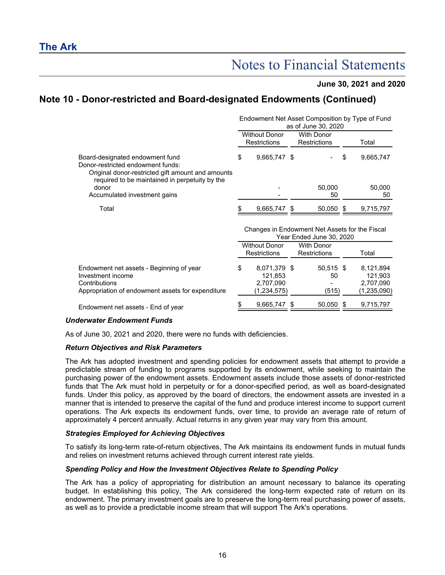#### **June 30, 2021 and 2020**

## **Note 10 - Donor-restricted and Board-designated Endowments (Continued)**

|                                                                                                                                                                             | Endowment Net Asset Composition by Type of Fund<br>as of June 30, 2020 |              |                                          |              |       |              |
|-----------------------------------------------------------------------------------------------------------------------------------------------------------------------------|------------------------------------------------------------------------|--------------|------------------------------------------|--------------|-------|--------------|
| <b>Without Donor</b><br><b>Restrictions</b>                                                                                                                                 |                                                                        |              | <b>With Donor</b><br><b>Restrictions</b> |              | Total |              |
| Board-designated endowment fund<br>Donor-restricted endowment funds:<br>Original donor-restricted gift amount and amounts<br>required to be maintained in perpetuity by the | \$                                                                     | 9.665.747 \$ |                                          |              | S     | 9,665,747    |
| donor<br>Accumulated investment gains                                                                                                                                       |                                                                        |              |                                          | 50,000<br>50 |       | 50,000<br>50 |
| Total                                                                                                                                                                       | \$                                                                     | 9,665,747 \$ |                                          | 50.050       |       | 9,715,797    |

|                                                                                                                                     | Changes in Endowment Net Assets for the Fiscal<br>Year Ended June 30, 2020 |                                                     |  |                                   |  |                                                  |  |
|-------------------------------------------------------------------------------------------------------------------------------------|----------------------------------------------------------------------------|-----------------------------------------------------|--|-----------------------------------|--|--------------------------------------------------|--|
|                                                                                                                                     |                                                                            | <b>Without Donor</b><br><b>Restrictions</b>         |  | <b>With Donor</b><br>Restrictions |  | Total                                            |  |
| Endowment net assets - Beginning of year<br>Investment income<br>Contributions<br>Appropriation of endowment assets for expenditure | \$                                                                         | 8,071,379 \$<br>121,853<br>2,707,090<br>(1,234,575) |  | 50,515 \$<br>50<br>(515)          |  | 8,121,894<br>121,903<br>2,707,090<br>(1,235,090) |  |
| Endowment net assets - End of year                                                                                                  | S                                                                          | 9,665,747 \$                                        |  | 50,050 \$                         |  | 9,715,797                                        |  |

#### *Underwater Endowment Funds*

As of June 30, 2021 and 2020, there were no funds with deficiencies.

#### *Return Objectives and Risk Parameters*

The Ark has adopted investment and spending policies for endowment assets that attempt to provide a predictable stream of funding to programs supported by its endowment, while seeking to maintain the purchasing power of the endowment assets. Endowment assets include those assets of donor-restricted funds that The Ark must hold in perpetuity or for a donor-specified period, as well as board-designated funds. Under this policy, as approved by the board of directors, the endowment assets are invested in a manner that is intended to preserve the capital of the fund and produce interest income to support current operations. The Ark expects its endowment funds, over time, to provide an average rate of return of approximately 4 percent annually. Actual returns in any given year may vary from this amount.

#### *Strategies Employed for Achieving Objectives*

To satisfy its long-term rate-of-return objectives, The Ark maintains its endowment funds in mutual funds and relies on investment returns achieved through current interest rate yields.

#### *Spending Policy and How the Investment Objectives Relate to Spending Policy*

The Ark has a policy of appropriating for distribution an amount necessary to balance its operating budget. In establishing this policy, The Ark considered the long-term expected rate of return on its endowment. The primary investment goals are to preserve the long-term real purchasing power of assets, as well as to provide a predictable income stream that will support The Ark's operations.